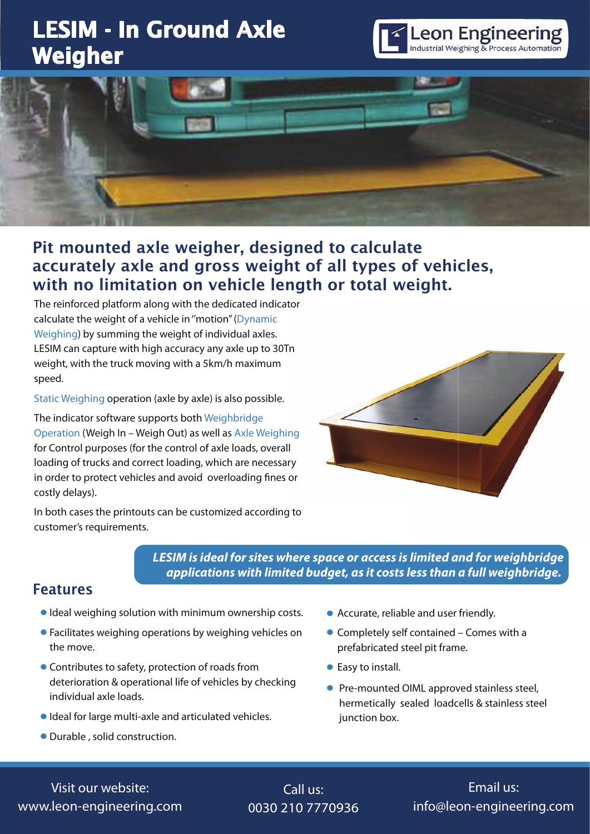# LESIM - In Ground Axle Weigher





## Pit mounted axle weigher, designed to calculate accurately axle and gross weight of all types of vehicles, with no limitation on vehicle length or total weight.

The reinforced platform along with the dedicated indicator calculate the weight of a vehicle in ''motion'' (Dynamic Weighing) by summing the weight of individual axles. LESIM can capture with high accuracy any axle up to 30Tn weight, with the truck moving with a 5km/h maximum speed.

Static Weighing operation (axle by axle) is also possible.

The indicator software supports both Weighbridge Operation (Weigh In – Weigh Out) as well as Axle Weighing for Control purposes (for the control of axle loads, overall loading of trucks and correct loading, which are necessary in order to protect vehicles and avoid overloading fines or costly delays).



In both cases the printouts can be customized according to customer's requirements.

#### *LESIM is ideal for sites where space or access is limited and for weighbridge applications with limited budget, as it costs less than a full weighbridge.*

#### Features

- Ideal weighing solution with minimum ownership costs.
- Facilitates weighing operations by weighing vehicles on the move.
- Contributes to safety, protection of roads from deterioration & operational life of vehicles by checking individual axle loads.
- Ideal for large multi-axle and articulated vehicles.
- Durable , solid construction.
- Accurate, reliable and user friendly.
- Completely self contained Comes with a prefabricated steel pit frame.
- Easy to install.
- Pre-mounted OIML approved stainless steel, hermetically sealed loadcells & stainless steel junction box.

Visit our website: www.leon-engineering.com

Call us: 0030 210 7770936

Email us: info@leon-engineering.com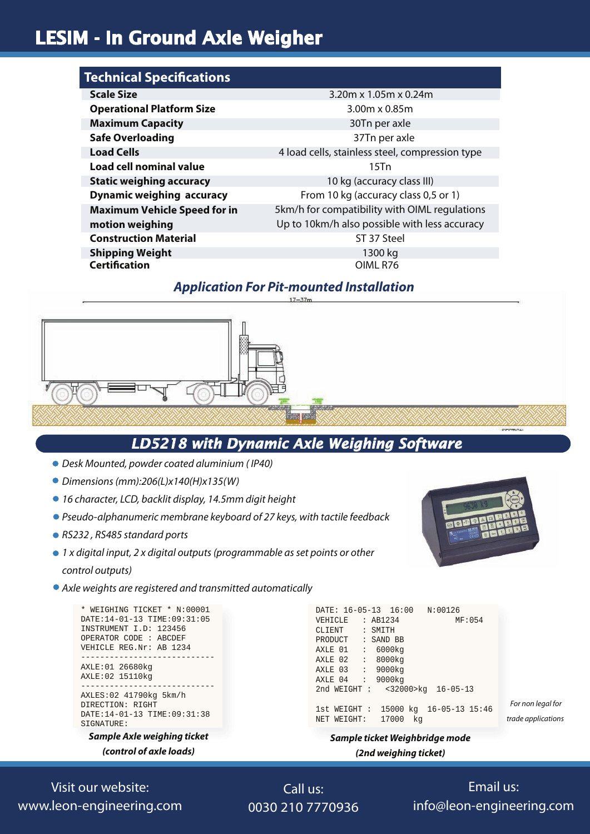## LESIM - In Ground Axle Weigher

| <b>Technical Specifications</b>     |                                                 |
|-------------------------------------|-------------------------------------------------|
| <b>Scale Size</b>                   | 3.20m x $1.05m \times 0.24m$                    |
| <b>Operational Platform Size</b>    | $3.00m \times 0.85m$                            |
| <b>Maximum Capacity</b>             | 30Tn per axle                                   |
| <b>Safe Overloading</b>             | 37Tn per axle                                   |
| <b>Load Cells</b>                   | 4 load cells, stainless steel, compression type |
| Load cell nominal value             | $15$ Tn                                         |
| <b>Static weighing accuracy</b>     | 10 kg (accuracy class III)                      |
| <b>Dynamic weighing accuracy</b>    | From 10 kg (accuracy class 0,5 or 1)            |
| <b>Maximum Vehicle Speed for in</b> | 5km/h for compatibility with OIML regulations   |
| motion weighing                     | Up to 10km/h also possible with less accuracy   |
| <b>Construction Material</b>        | ST 37 Steel                                     |
| <b>Shipping Weight</b>              | 1300 kg                                         |
| <b>Certification</b>                | OIML R76                                        |

#### *Application For Pit-mounted Installation*



### *LD5218 with Dynamic Axle Weighing Software*

- *Desk Mounted, powder coated aluminium ( IP40)*
- *Dimensions (mm):206(L)x140(H)x135(W)*
- *16 character, LCD, backlit display, 14.5mm digit height*
- *Pseudo-alphanumeric membrane keyboard of 27 keys, with tactile feedback*
- *RS232 , RS485 standard ports*

*1 x digital input, 2 x digital outputs (programmable as set points or other control outputs)*

*Axle weights are registered and transmitted automatically*

```
* WEIGHING TICKET * N:00001
DATE:14-01-13 TIME:09:31:05
INSTRUMENT I.D: 123456
OPERATOR CODE : ABCDEF
VEHICLE REG.Nr: AB 1234
                ----------------------------
AXLE:01 26680kg
AXLE:02 15110kg
   -AXLES:02 41790kg 5km/h
DIRECTION: RIGHT
DATE:14-01-13 TIME:09:31:38
SIGNATURE:
```
*Sample Axle weighing ticket (control of axle loads)*

| DATE: 16-05-13 16:00 N:00126           |
|----------------------------------------|
| VEHICLE : AB1234<br>MF:054             |
| CLIENT<br>: SMITH<br>PRODUCT : SAND BB |
| AXLE 01 : 6000kg                       |
| AXLE 02 : 8000kg                       |
| AXLE 03 : 9000kg                       |
| AXLE 04 : 9000kg                       |
| 2nd WEIGHT: <32000>kg 16-05-13         |
| 1st WEIGHT: 15000 kg 16-05-13 15:46    |
| NET WEIGHT: 17000<br>kq                |

#### *Sample ticket Weighbridge mode (2nd weighing ticket)*

Visit our website: www.leon-engineering.com

Call us: 0030 210 7770936

Email us: info@leon-engineering.com